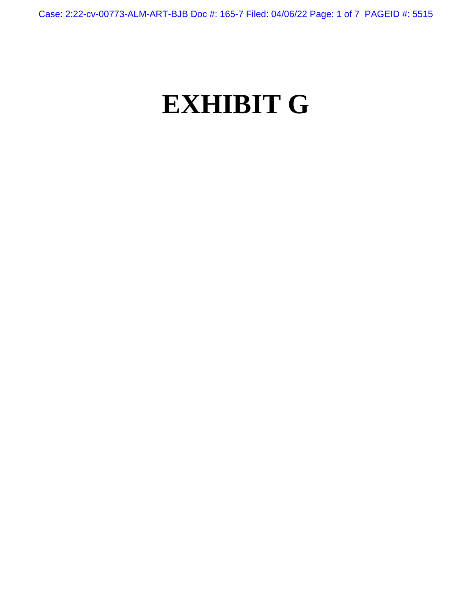Case: 2:22-cv-00773-ALM-ART-BJB Doc #: 165-7 Filed: 04/06/22 Page: 1 of 7 PAGEID #: 5515

## **EXHIBIT G**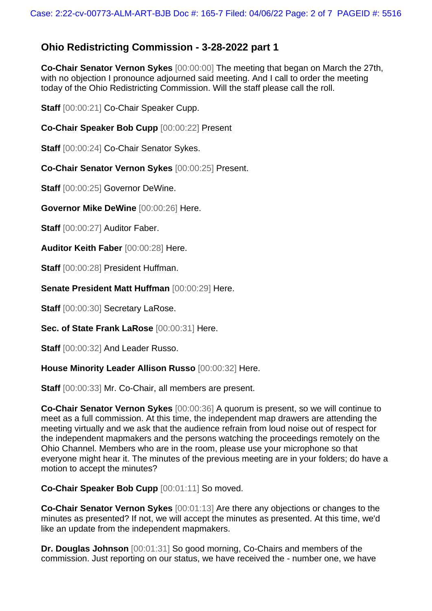## **Ohio Redistricting Commission - 3-28-2022 part 1**

**Co-Chair Senator Vernon Sykes** [00:00:00] The meeting that began on March the 27th, with no objection I pronounce adjourned said meeting. And I call to order the meeting today of the Ohio Redistricting Commission. Will the staff please call the roll.

**Staff** [00:00:21] Co-Chair Speaker Cupp.

**Co-Chair Speaker Bob Cupp** [00:00:22] Present

**Staff** [00:00:24] Co-Chair Senator Sykes.

**Co-Chair Senator Vernon Sykes** [00:00:25] Present.

**Staff** [00:00:25] Governor DeWine.

**Governor Mike DeWine** [00:00:26] Here.

**Staff** [00:00:27] Auditor Faber.

**Auditor Keith Faber** [00:00:28] Here.

**Staff** [00:00:28] President Huffman.

**Senate President Matt Huffman** [00:00:29] Here.

Staff  $[00:00:30]$  Secretary LaRose.

**Sec. of State Frank LaRose** [00:00:31] Here.

Staff  $[00:00:32]$  And Leader Russo.

**House Minority Leader Allison Russo** [00:00:32] Here.

**Staff** [00:00:33] Mr. Co-Chair, all members are present.

**Co-Chair Senator Vernon Sykes** [00:00:36] A quorum is present, so we will continue to meet as a full commission. At this time, the independent map drawers are attending the meeting virtually and we ask that the audience refrain from loud noise out of respect for the independent mapmakers and the persons watching the proceedings remotely on the Ohio Channel. Members who are in the room, please use your microphone so that everyone might hear it. The minutes of the previous meeting are in your folders; do have a motion to accept the minutes?

**Co-Chair Speaker Bob Cupp** [00:01:11] So moved.

**Co-Chair Senator Vernon Sykes** [00:01:13] Are there any objections or changes to the minutes as presented? If not, we will accept the minutes as presented. At this time, we'd like an update from the independent mapmakers.

**Dr. Douglas Johnson** [00:01:31] So good morning, Co-Chairs and members of the commission. Just reporting on our status, we have received the - number one, we have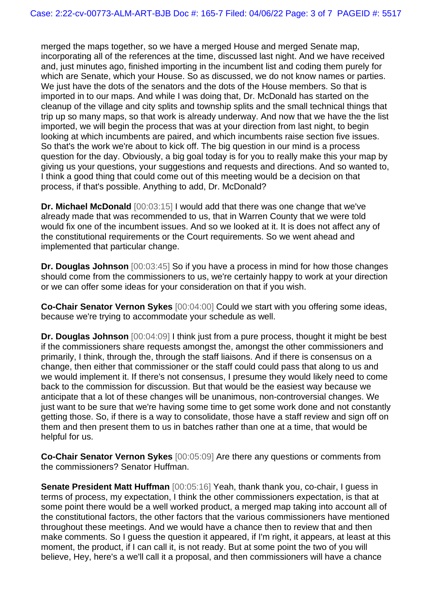merged the maps together, so we have a merged House and merged Senate map, incorporating all of the references at the time, discussed last night. And we have received and, just minutes ago, finished importing in the incumbent list and coding them purely for which are Senate, which your House. So as discussed, we do not know names or parties. We just have the dots of the senators and the dots of the House members. So that is imported in to our maps. And while I was doing that, Dr. McDonald has started on the cleanup of the village and city splits and township splits and the small technical things that trip up so many maps, so that work is already underway. And now that we have the the list imported, we will begin the process that was at your direction from last night, to begin looking at which incumbents are paired, and which incumbents raise section five issues. So that's the work we're about to kick off. The big question in our mind is a process question for the day. Obviously, a big goal today is for you to really make this your map by giving us your questions, your suggestions and requests and directions. And so wanted to, I think a good thing that could come out of this meeting would be a decision on that process, if that's possible. Anything to add, Dr. McDonald?

**Dr. Michael McDonald** [00:03:15] I would add that there was one change that we've already made that was recommended to us, that in Warren County that we were told would fix one of the incumbent issues. And so we looked at it. It is does not affect any of the constitutional requirements or the Court requirements. So we went ahead and implemented that particular change.

**Dr. Douglas Johnson** [00:03:45] So if you have a process in mind for how those changes should come from the commissioners to us, we're certainly happy to work at your direction or we can offer some ideas for your consideration on that if you wish.

**Co-Chair Senator Vernon Sykes** [00:04:00] Could we start with you offering some ideas, because we're trying to accommodate your schedule as well.

**Dr. Douglas Johnson** [00:04:09] I think just from a pure process, thought it might be best if the commissioners share requests amongst the, amongst the other commissioners and primarily, I think, through the, through the staff liaisons. And if there is consensus on a change, then either that commissioner or the staff could could pass that along to us and we would implement it. If there's not consensus, I presume they would likely need to come back to the commission for discussion. But that would be the easiest way because we anticipate that a lot of these changes will be unanimous, non-controversial changes. We just want to be sure that we're having some time to get some work done and not constantly getting those. So, if there is a way to consolidate, those have a staff review and sign off on them and then present them to us in batches rather than one at a time, that would be helpful for us.

**Co-Chair Senator Vernon Sykes** [00:05:09] Are there any questions or comments from the commissioners? Senator Huffman.

**Senate President Matt Huffman** [00:05:16] Yeah, thank thank you, co-chair, I guess in terms of process, my expectation, I think the other commissioners expectation, is that at some point there would be a well worked product, a merged map taking into account all of the constitutional factors, the other factors that the various commissioners have mentioned throughout these meetings. And we would have a chance then to review that and then make comments. So I guess the question it appeared, if I'm right, it appears, at least at this moment, the product, if I can call it, is not ready. But at some point the two of you will believe, Hey, here's a we'll call it a proposal, and then commissioners will have a chance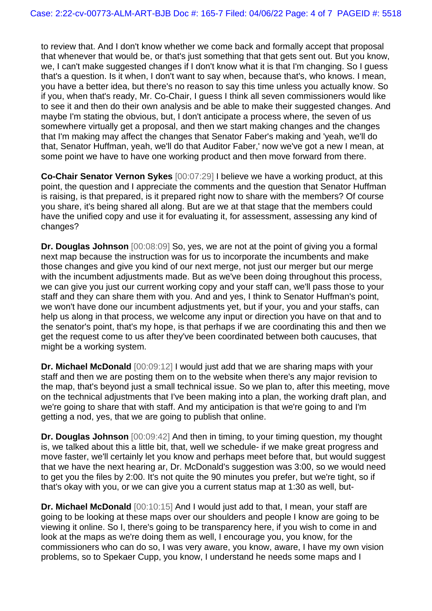to review that. And I don't know whether we come back and formally accept that proposal that whenever that would be, or that's just something that that gets sent out. But you know, we, I can't make suggested changes if I don't know what it is that I'm changing. So I guess that's a question. Is it when, I don't want to say when, because that's, who knows. I mean, you have a better idea, but there's no reason to say this time unless you actually know. So if you, when that's ready, Mr. Co-Chair, I guess I think all seven commissioners would like to see it and then do their own analysis and be able to make their suggested changes. And maybe I'm stating the obvious, but, I don't anticipate a process where, the seven of us somewhere virtually get a proposal, and then we start making changes and the changes that I'm making may affect the changes that Senator Faber's making and 'yeah, we'll do that, Senator Huffman, yeah, we'll do that Auditor Faber,' now we've got a new I mean, at some point we have to have one working product and then move forward from there.

**Co-Chair Senator Vernon Sykes** [00:07:29] I believe we have a working product, at this point, the question and I appreciate the comments and the question that Senator Huffman is raising, is that prepared, is it prepared right now to share with the members? Of course you share, it's being shared all along. But are we at that stage that the members could have the unified copy and use it for evaluating it, for assessment, assessing any kind of changes?

**Dr. Douglas Johnson** [00:08:09] So, yes, we are not at the point of giving you a formal next map because the instruction was for us to incorporate the incumbents and make those changes and give you kind of our next merge, not just our merger but our merge with the incumbent adjustments made. But as we've been doing throughout this process, we can give you just our current working copy and your staff can, we'll pass those to your staff and they can share them with you. And and yes, I think to Senator Huffman's point, we won't have done our incumbent adjustments yet, but if your, you and your staffs, can help us along in that process, we welcome any input or direction you have on that and to the senator's point, that's my hope, is that perhaps if we are coordinating this and then we get the request come to us after they've been coordinated between both caucuses, that might be a working system.

**Dr. Michael McDonald** [00:09:12] I would just add that we are sharing maps with your staff and then we are posting them on to the website when there's any major revision to the map, that's beyond just a small technical issue. So we plan to, after this meeting, move on the technical adjustments that I've been making into a plan, the working draft plan, and we're going to share that with staff. And my anticipation is that we're going to and I'm getting a nod, yes, that we are going to publish that online.

**Dr. Douglas Johnson** [00:09:42] And then in timing, to your timing question, my thought is, we talked about this a little bit, that, well we schedule- if we make great progress and move faster, we'll certainly let you know and perhaps meet before that, but would suggest that we have the next hearing ar, Dr. McDonald's suggestion was 3:00, so we would need to get you the files by 2:00. It's not quite the 90 minutes you prefer, but we're tight, so if that's okay with you, or we can give you a current status map at 1:30 as well, but-

**Dr. Michael McDonald** [00:10:15] And I would just add to that, I mean, your staff are going to be looking at these maps over our shoulders and people I know are going to be viewing it online. So I, there's going to be transparency here, if you wish to come in and look at the maps as we're doing them as well, I encourage you, you know, for the commissioners who can do so, I was very aware, you know, aware, I have my own vision problems, so to Spekaer Cupp, you know, I understand he needs some maps and I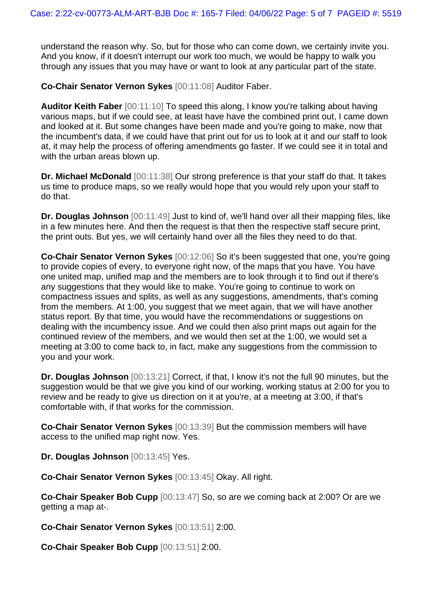understand the reason why. So, but for those who can come down, we certainly invite you. And you know, if it doesn't interrupt our work too much, we would be happy to walk you through any issues that you may have or want to look at any particular part of the state.

**Co-Chair Senator Vernon Sykes** [00:11:08] Auditor Faber.

**Auditor Keith Faber** [00:11:10] To speed this along, I know you're talking about having various maps, but if we could see, at least have have the combined print out, I came down and looked at it. But some changes have been made and you're going to make, now that the incumbent's data, if we could have that print out for us to look at it and our staff to look at, it may help the process of offering amendments go faster. If we could see it in total and with the urban areas blown up.

**Dr. Michael McDonald** [00:11:38] Our strong preference is that your staff do that. It takes us time to produce maps, so we really would hope that you would rely upon your staff to do that.

**Dr. Douglas Johnson** [00:11:49] Just to kind of, we'll hand over all their mapping files, like in a few minutes here. And then the request is that then the respective staff secure print, the print outs. But yes, we will certainly hand over all the files they need to do that.

**Co-Chair Senator Vernon Sykes** [00:12:06] So it's been suggested that one, you're going to provide copies of every, to everyone right now, of the maps that you have. You have one united map, unified map and the members are to look through it to find out if there's any suggestions that they would like to make. You're going to continue to work on compactness issues and splits, as well as any suggestions, amendments, that's coming from the members. At 1:00, you suggest that we meet again, that we will have another status report. By that time, you would have the recommendations or suggestions on dealing with the incumbency issue. And we could then also print maps out again for the continued review of the members, and we would then set at the 1:00, we would set a meeting at 3:00 to come back to, in fact, make any suggestions from the commission to you and your work.

**Dr. Douglas Johnson** [00:13:21] Correct, if that, I know it's not the full 90 minutes, but the suggestion would be that we give you kind of our working, working status at 2:00 for you to review and be ready to give us direction on it at you're, at a meeting at 3:00, if that's comfortable with, if that works for the commission.

**Co-Chair Senator Vernon Sykes** [00:13:39] But the commission members will have access to the unified map right now. Yes.

**Dr. Douglas Johnson** [00:13:45] Yes.

**Co-Chair Senator Vernon Sykes** [00:13:45] Okay. All right.

**Co-Chair Speaker Bob Cupp** [00:13:47] So, so are we coming back at 2:00? Or are we getting a map at-.

**Co-Chair Senator Vernon Sykes** [00:13:51] 2:00.

**Co-Chair Speaker Bob Cupp** [00:13:51] 2:00.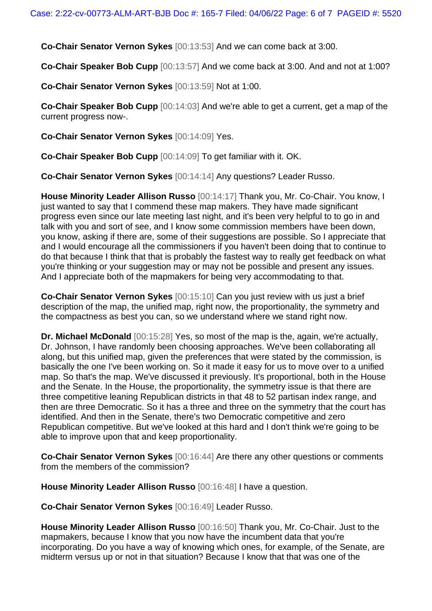**Co-Chair Senator Vernon Sykes** [00:13:53] And we can come back at 3:00.

**Co-Chair Speaker Bob Cupp** [00:13:57] And we come back at 3:00. And and not at 1:00?

**Co-Chair Senator Vernon Sykes** [00:13:59] Not at 1:00.

**Co-Chair Speaker Bob Cupp** [00:14:03] And we're able to get a current, get a map of the current progress now-.

**Co-Chair Senator Vernon Sykes** [00:14:09] Yes.

**Co-Chair Speaker Bob Cupp** [00:14:09] To get familiar with it. OK.

**Co-Chair Senator Vernon Sykes** [00:14:14] Any questions? Leader Russo.

**House Minority Leader Allison Russo** [00:14:17] Thank you, Mr. Co-Chair. You know, I just wanted to say that I commend these map makers. They have made significant progress even since our late meeting last night, and it's been very helpful to to go in and talk with you and sort of see, and I know some commission members have been down, you know, asking if there are, some of their suggestions are possible. So I appreciate that and I would encourage all the commissioners if you haven't been doing that to continue to do that because I think that that is probably the fastest way to really get feedback on what you're thinking or your suggestion may or may not be possible and present any issues. And I appreciate both of the mapmakers for being very accommodating to that.

**Co-Chair Senator Vernon Sykes** [00:15:10] Can you just review with us just a brief description of the map, the unified map, right now, the proportionality, the symmetry and the compactness as best you can, so we understand where we stand right now.

**Dr. Michael McDonald** [00:15:28] Yes, so most of the map is the, again, we're actually, Dr. Johnson, I have randomly been choosing approaches. We've been collaborating all along, but this unified map, given the preferences that were stated by the commission, is basically the one I've been working on. So it made it easy for us to move over to a unified map. So that's the map. We've discussed it previously. It's proportional, both in the House and the Senate. In the House, the proportionality, the symmetry issue is that there are three competitive leaning Republican districts in that 48 to 52 partisan index range, and then are three Democratic. So it has a three and three on the symmetry that the court has identified. And then in the Senate, there's two Democratic competitive and zero Republican competitive. But we've looked at this hard and I don't think we're going to be able to improve upon that and keep proportionality.

**Co-Chair Senator Vernon Sykes** [00:16:44] Are there any other questions or comments from the members of the commission?

**House Minority Leader Allison Russo** [00:16:48] I have a question.

**Co-Chair Senator Vernon Sykes** [00:16:49] Leader Russo.

**House Minority Leader Allison Russo** [00:16:50] Thank you, Mr. Co-Chair. Just to the mapmakers, because I know that you now have the incumbent data that you're incorporating. Do you have a way of knowing which ones, for example, of the Senate, are midterm versus up or not in that situation? Because I know that that was one of the